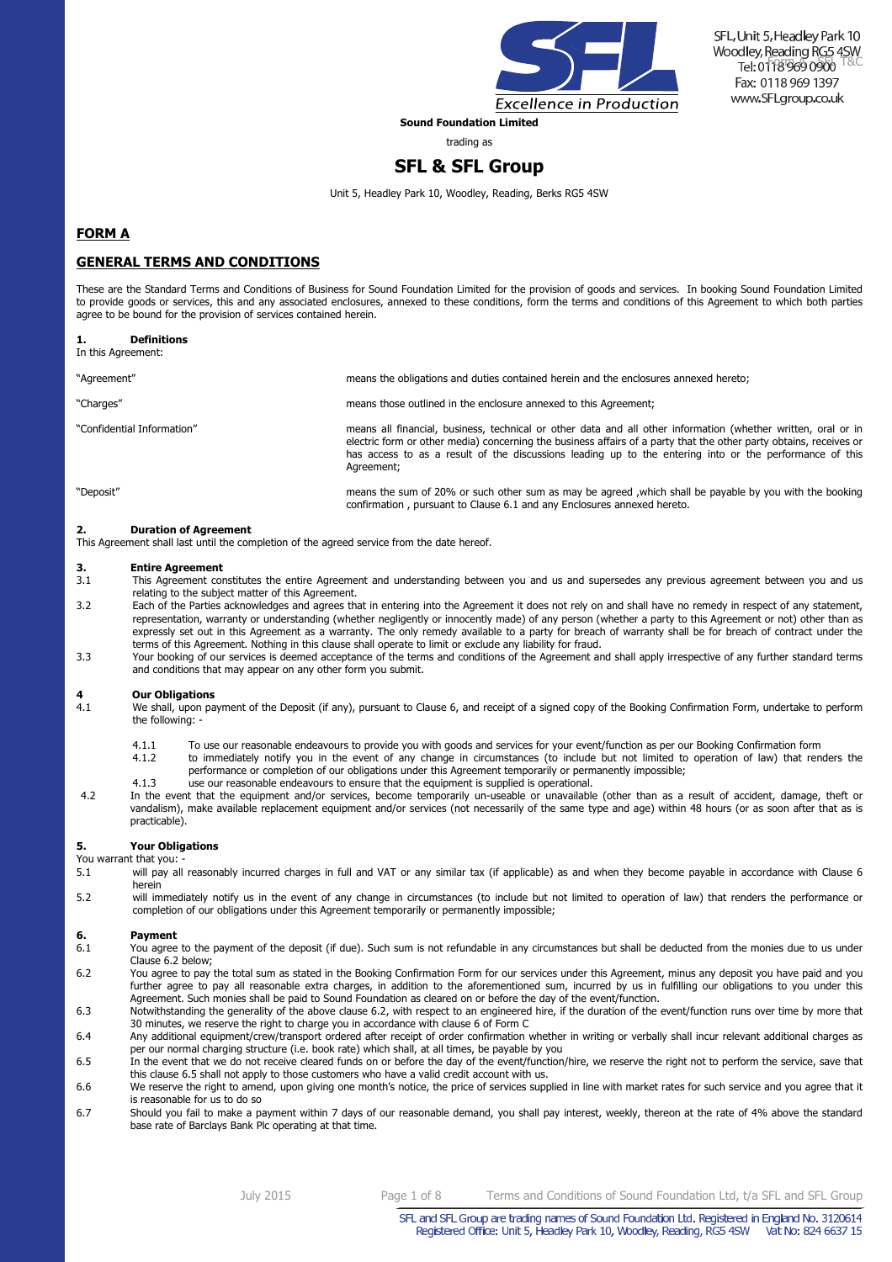

**Sound Foundation Limited** 

trading as

# **SFL & SFL Group**

Unit 5, Headley Park 10, Woodley, Reading, Berks RG5 4SW

### **FORM A**

### **GENERAL TERMS AND CONDITIONS**

These are the Standard Terms and Conditions of Business for Sound Foundation Limited for the provision of goods and services. In booking Sound Foundation Limited to provide goods or services, this and any associated enclosures, annexed to these conditions, form the terms and conditions of this Agreement to which both parties agree to be bound for the provision of services contained herein.

| <b>Definitions</b><br>In this Agreement: |                                                                                                                                                                                                                                                                                                                                                              |
|------------------------------------------|--------------------------------------------------------------------------------------------------------------------------------------------------------------------------------------------------------------------------------------------------------------------------------------------------------------------------------------------------------------|
| "Agreement"                              | means the obligations and duties contained herein and the enclosures annexed hereto;                                                                                                                                                                                                                                                                         |
| "Charges"                                | means those outlined in the enclosure annexed to this Agreement;                                                                                                                                                                                                                                                                                             |
| "Confidential Information"               | means all financial, business, technical or other data and all other information (whether written, oral or in<br>electric form or other media) concerning the business affairs of a party that the other party obtains, receives or<br>has access to as a result of the discussions leading up to the entering into or the performance of this<br>Agreement; |
| "Deposit"                                | means the sum of 20% or such other sum as may be agreed, which shall be payable by you with the booking<br>confirmation, pursuant to Clause 6.1 and any Enclosures annexed hereto.                                                                                                                                                                           |

**2. Duration of Agreement** 

This Agreement shall last until the completion of the agreed service from the date hereof.

# **3. Entire Agreement** 3.1 This Agreement com

- 3.1 This Agreement constitutes the entire Agreement and understanding between you and us and supersedes any previous agreement between you and us relating to the subject matter of this Agreement.
- 3.2 Each of the Parties acknowledges and agrees that in entering into the Agreement it does not rely on and shall have no remedy in respect of any statement, representation, warranty or understanding (whether negligently or innocently made) of any person (whether a party to this Agreement or not) other than as expressly set out in this Agreement as a warranty. The only remedy available to a party for breach of warranty shall be for breach of contract under the terms of this Agreement. Nothing in this clause shall operate to limit or exclude any liability for fraud.
- 3.3 Your booking of our services is deemed acceptance of the terms and conditions of the Agreement and shall apply irrespective of any further standard terms and conditions that may appear on any other form you submit.

# **4 Our Obligations**<br>**4.1** We shall, upon pa

- We shall, upon payment of the Deposit (if any), pursuant to Clause 6, and receipt of a signed copy of the Booking Confirmation Form, undertake to perform the following:
	-
	- 4.1.1 To use our reasonable endeavours to provide you with goods and services for your event/function as per our Booking Confirmation form<br>4.1.2 to immediately notify you in the event of any change in circumstances (to inc 4.1.2 to immediately notify you in the event of any change in circumstances (to include but not limited to operation of law) that renders the performance or completion of our obligations under this Agreement temporarily or permanently impossible;
	- 4.1.3 use our reasonable endeavours to ensure that the equipment is supplied is operational.
- 4.2 In the event that the equipment and/or services, become temporarily un-useable or unavailable (other than as a result of accident, damage, theft or vandalism), make available replacement equipment and/or services (not necessarily of the same type and age) within 48 hours (or as soon after that as is practicable).

### **5. Your Obligations**

You warrant that you:<br>5.1 will nav all

- will pay all reasonably incurred charges in full and VAT or any similar tax (if applicable) as and when they become payable in accordance with Clause 6 herein
- 5.2 will immediately notify us in the event of any change in circumstances (to include but not limited to operation of law) that renders the performance or completion of our obligations under this Agreement temporarily or permanently impossible;

### **6.** Payment<br>**6.1** You agree

- You agree to the payment of the deposit (if due). Such sum is not refundable in any circumstances but shall be deducted from the monies due to us under Clause 6.2 below;
- 6.2 You agree to pay the total sum as stated in the Booking Confirmation Form for our services under this Agreement, minus any deposit you have paid and you further agree to pay all reasonable extra charges, in addition to the aforementioned sum, incurred by us in fulfilling our obligations to you under this Agreement. Such monies shall be paid to Sound Foundation as cleared on or before the day of the event/function.
- 6.3 Notwithstanding the generality of the above clause 6.2, with respect to an engineered hire, if the duration of the event/function runs over time by more that 30 minutes, we reserve the right to charge you in accordance with clause 6 of Form C
- 6.4 Any additional equipment/crew/transport ordered after receipt of order confirmation whether in writing or verbally shall incur relevant additional charges as per our normal charging structure (i.e. book rate) which shall, at all times, be payable by you
- 6.5 In the event that we do not receive cleared funds on or before the day of the event/function/hire, we reserve the right not to perform the service, save that this clause 6.5 shall not apply to those customers who have a valid credit account with us.
- 6.6 We reserve the right to amend, upon giving one month's notice, the price of services supplied in line with market rates for such service and you agree that it is reasonable for us to do so
- 6.7 Should you fail to make a payment within 7 days of our reasonable demand, you shall pay interest, weekly, thereon at the rate of 4% above the standard base rate of Barclays Bank Plc operating at that time.

July 2015 Page 1 of 8 Terms and Conditions of Sound Foundation Ltd, t/a SFL and SFL Group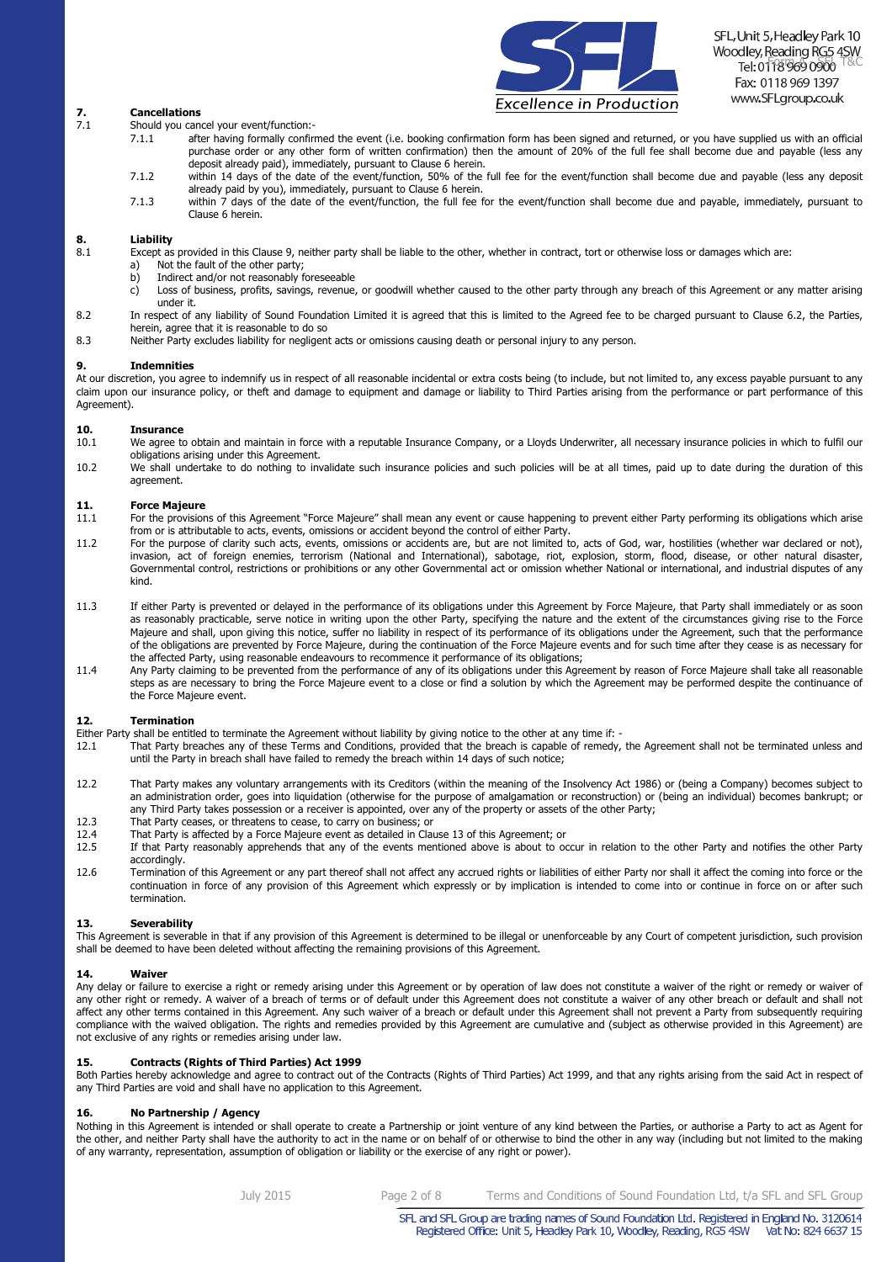

### **7. Cancellations**<br> **7.1 Should you can**

- Should you cancel your event/function:-<br>7.1.1 after having formally confirm
	- after having formally confirmed the event (i.e. booking confirmation form has been signed and returned, or you have supplied us with an official purchase order or any other form of written confirmation) then the amount of 20% of the full fee shall become due and payable (less any deposit already paid), immediately, pursuant to Clause 6 herein.
	- 7.1.2 within 14 days of the date of the event/function, 50% of the full fee for the event/function shall become due and payable (less any deposit already paid by you), immediately, pursuant to Clause 6 herein.
	- 7.1.3 within 7 days of the date of the event/function, the full fee for the event/function shall become due and payable, immediately, pursuant to Clause 6 herein.

# **8. Liability 8.1 Except as**

- Except as provided in this Clause 9, neither party shall be liable to the other, whether in contract, tort or otherwise loss or damages which are:
	- a) Not the fault of the other party;<br>  $h$ ) Indirect and/or not reasonably for
	- b) Indirect and/or not reasonably foreseeable
	- c) Loss of business, profits, savings, revenue, or goodwill whether caused to the other party through any breach of this Agreement or any matter arising under it.
- 8.2 In respect of any liability of Sound Foundation Limited it is agreed that this is limited to the Agreed fee to be charged pursuant to Clause 6.2, the Parties, herein, agree that it is reasonable to do so
- 8.3 Neither Party excludes liability for negligent acts or omissions causing death or personal injury to any person.

#### **9. Indemnities**

At our discretion, you agree to indemnify us in respect of all reasonable incidental or extra costs being (to include, but not limited to, any excess payable pursuant to any claim upon our insurance policy, or theft and damage to equipment and damage or liability to Third Parties arising from the performance or part performance of this Agreement).

# **10. Insurance 10.1** We agree to

- We agree to obtain and maintain in force with a reputable Insurance Company, or a Lloyds Underwriter, all necessary insurance policies in which to fulfil our obligations arising under this Agreement.
- 10.2 We shall undertake to do nothing to invalidate such insurance policies and such policies will be at all times, paid up to date during the duration of this agreement.

### **11. Force Majeure**

- 11.1 For the provisions of this Agreement "Force Majeure" shall mean any event or cause happening to prevent either Party performing its obligations which arise from or is attributable to acts, events, omissions or accident beyond the control of either Party.
- 11.2 For the purpose of clarity such acts, events, omissions or accidents are, but are not limited to, acts of God, war, hostilities (whether war declared or not), invasion, act of foreign enemies, terrorism (National and International), sabotage, riot, explosion, storm, flood, disease, or other natural disaster, Governmental control, restrictions or prohibitions or any other Governmental act or omission whether National or international, and industrial disputes of any kind.
- 11.3 If either Party is prevented or delayed in the performance of its obligations under this Agreement by Force Majeure, that Party shall immediately or as soon as reasonably practicable, serve notice in writing upon the other Party, specifying the nature and the extent of the circumstances giving rise to the Force Majeure and shall, upon giving this notice, suffer no liability in respect of its performance of its obligations under the Agreement, such that the performance of the obligations are prevented by Force Majeure, during the continuation of the Force Majeure events and for such time after they cease is as necessary for the affected Party, using reasonable endeavours to recommence it performance of its obligations;
- 11.4 Any Party claiming to be prevented from the performance of any of its obligations under this Agreement by reason of Force Majeure shall take all reasonable steps as are necessary to bring the Force Majeure event to a close or find a solution by which the Agreement may be performed despite the continuance of the Force Majeure event.

#### **12. Termination**

- Either Party shall be entitled to terminate the Agreement without liability by giving notice to the other at any time if: -
- That Party breaches any of these Terms and Conditions, provided that the breach is capable of remedy, the Agreement shall not be terminated unless and until the Party in breach shall have failed to remedy the breach within 14 days of such notice;
- 12.2 That Party makes any voluntary arrangements with its Creditors (within the meaning of the Insolvency Act 1986) or (being a Company) becomes subject to an administration order, goes into liquidation (otherwise for the purpose of amalgamation or reconstruction) or (being an individual) becomes bankrupt; or any Third Party takes possession or a receiver is appointed, over any of the property or assets of the other Party;
- 12.3 That Party ceases, or threatens to cease, to carry on business; or
- 12.4 That Party is affected by a Force Majeure event as detailed in Clause 13 of this Agreement; or
- 12.5 If that Party reasonably apprehends that any of the events mentioned above is about to occur in relation to the other Party and notifies the other Party accordingly.
- 12.6 Termination of this Agreement or any part thereof shall not affect any accrued rights or liabilities of either Party nor shall it affect the coming into force or the continuation in force of any provision of this Agreement which expressly or by implication is intended to come into or continue in force on or after such termination.

### **13. Severability**

This Agreement is severable in that if any provision of this Agreement is determined to be illegal or unenforceable by any Court of competent jurisdiction, such provision shall be deemed to have been deleted without affecting the remaining provisions of this Agreement.

#### **14. Waiver**

Any delay or failure to exercise a right or remedy arising under this Agreement or by operation of law does not constitute a waiver of the right or remedy or waiver of any other right or remedy. A waiver of a breach of terms or of default under this Agreement does not constitute a waiver of any other breach or default and shall not affect any other terms contained in this Agreement. Any such waiver of a breach or default under this Agreement shall not prevent a Party from subsequently requiring compliance with the waived obligation. The rights and remedies provided by this Agreement are cumulative and (subject as otherwise provided in this Agreement) are not exclusive of any rights or remedies arising under law.

### **15. Contracts (Rights of Third Parties) Act 1999**

Both Parties hereby acknowledge and agree to contract out of the Contracts (Rights of Third Parties) Act 1999, and that any rights arising from the said Act in respect of any Third Parties are void and shall have no application to this Agreement.

#### **16. No Partnership / Agency**

Nothing in this Agreement is intended or shall operate to create a Partnership or joint venture of any kind between the Parties, or authorise a Party to act as Agent for the other, and neither Party shall have the authority to act in the name or on behalf of or otherwise to bind the other in any way (including but not limited to the making of any warranty, representation, assumption of obligation or liability or the exercise of any right or power).

July 2015 Page 2 of 8 Terms and Conditions of Sound Foundation Ltd, t/a SFL and SFL Group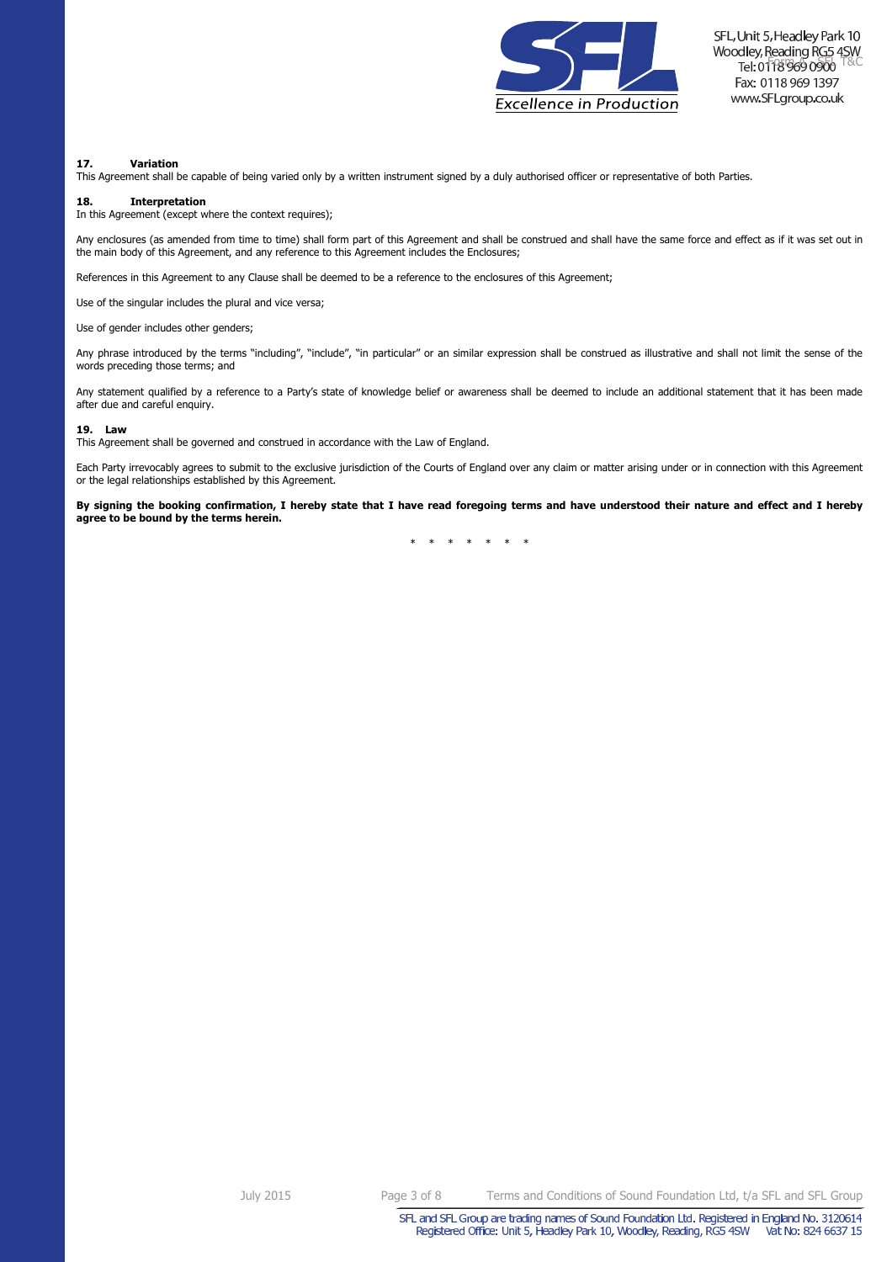

### **17. Variation**

This Agreement shall be capable of being varied only by a written instrument signed by a duly authorised officer or representative of both Parties.

### **18. Interpretation**

In this Agreement (except where the context requires);

Any enclosures (as amended from time to time) shall form part of this Agreement and shall be construed and shall have the same force and effect as if it was set out in the main body of this Agreement, and any reference to this Agreement includes the Enclosures;

References in this Agreement to any Clause shall be deemed to be a reference to the enclosures of this Agreement;

Use of the singular includes the plural and vice versa;

Use of gender includes other genders;

Any phrase introduced by the terms "including", "include", "in particular" or an similar expression shall be construed as illustrative and shall not limit the sense of the words preceding those terms; and

Any statement qualified by a reference to a Party's state of knowledge belief or awareness shall be deemed to include an additional statement that it has been made after due and careful enquiry.

#### **19. Law**

This Agreement shall be governed and construed in accordance with the Law of England.

Each Party irrevocably agrees to submit to the exclusive jurisdiction of the Courts of England over any claim or matter arising under or in connection with this Agreement or the legal relationships established by this Agreement.

**By signing the booking confirmation, I hereby state that I have read foregoing terms and have understood their nature and effect and I hereby agree to be bound by the terms herein.**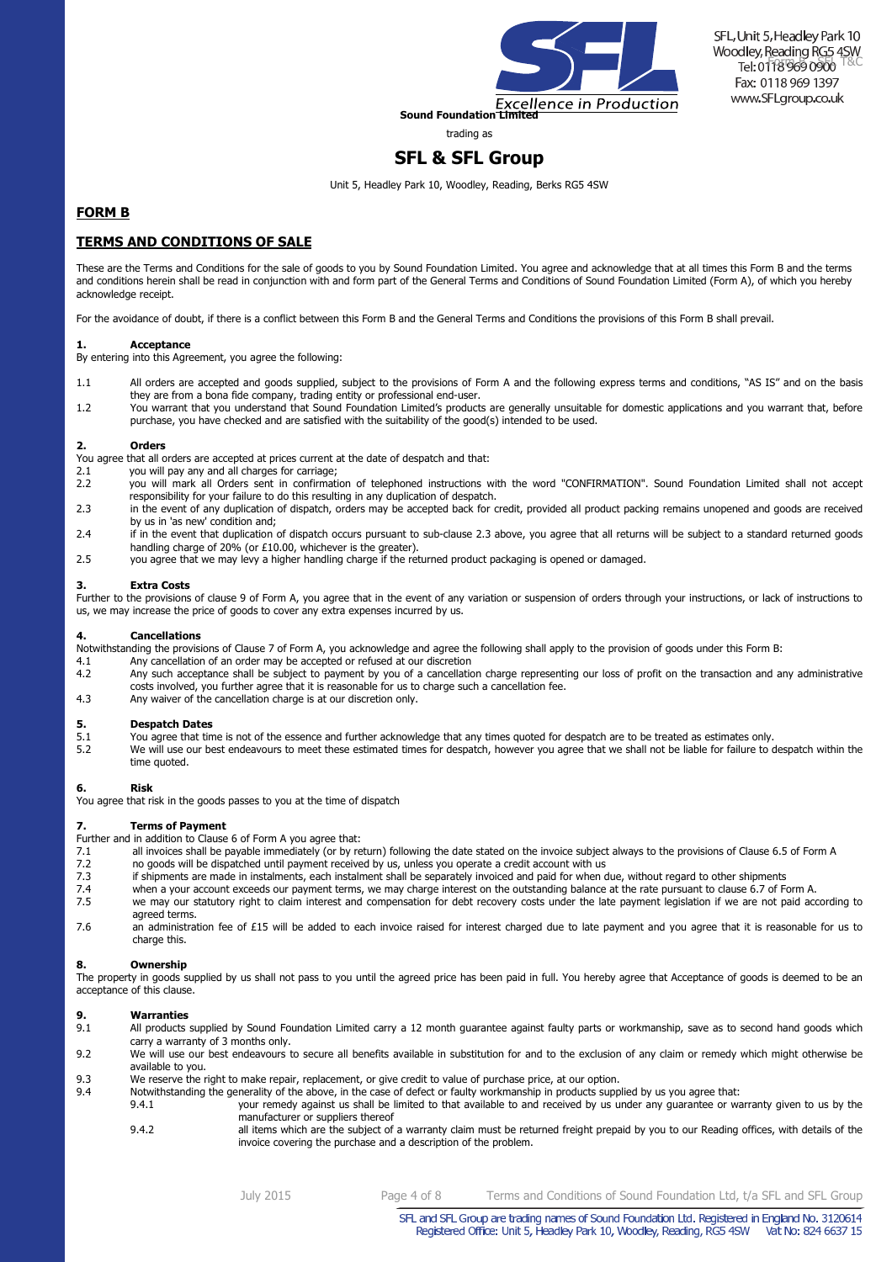

trading as

# **SFL & SFL Group**

Unit 5, Headley Park 10, Woodley, Reading, Berks RG5 4SW

### **FORM B**

### **TERMS AND CONDITIONS OF SALE**

These are the Terms and Conditions for the sale of goods to you by Sound Foundation Limited. You agree and acknowledge that at all times this Form B and the terms and conditions herein shall be read in conjunction with and form part of the General Terms and Conditions of Sound Foundation Limited (Form A), of which you hereby acknowledge receipt.

For the avoidance of doubt, if there is a conflict between this Form B and the General Terms and Conditions the provisions of this Form B shall prevail.

### **1. Acceptance**

By entering into this Agreement, you agree the following:

- 1.1 All orders are accepted and goods supplied, subject to the provisions of Form A and the following express terms and conditions, "AS IS" and on the basis they are from a bona fide company, trading entity or professional end-user.
- 1.2 You warrant that you understand that Sound Foundation Limited's products are generally unsuitable for domestic applications and you warrant that, before purchase, you have checked and are satisfied with the suitability of the good(s) intended to be used.

### **2. Orders**

You agree that all orders are accepted at prices current at the date of despatch and that:<br>2.1 you will pay any and all charges for carriage;

- 2.1 you will pay any and all charges for carriage;<br>2.2 you will mark all Orders sent in confirmati
- 2.2 you will mark all Orders sent in confirmation of telephoned instructions with the word "CONFIRMATION". Sound Foundation Limited shall not accept responsibility for your failure to do this resulting in any duplication of despatch.
- 2.3 in the event of any duplication of dispatch, orders may be accepted back for credit, provided all product packing remains unopened and goods are received by us in 'as new' condition and;
- 2.4 if in the event that duplication of dispatch occurs pursuant to sub-clause 2.3 above, you agree that all returns will be subject to a standard returned goods handling charge of 20% (or £10.00, whichever is the greater).
- 2.5 you agree that we may levy a higher handling charge if the returned product packaging is opened or damaged.

### **3. Extra Costs**

Further to the provisions of clause 9 of Form A, you agree that in the event of any variation or suspension of orders through your instructions, or lack of instructions to us, we may increase the price of goods to cover any extra expenses incurred by us.

### **4. Cancellations**

- Notwithstanding the provisions of Clause 7 of Form A, you acknowledge and agree the following shall apply to the provision of goods under this Form B:
- 4.1 Any cancellation of an order may be accepted or refused at our discretion<br>4.2 Any such acceptance shall be subject to payment by you of a cancellatic
- Any such acceptance shall be subject to payment by you of a cancellation charge representing our loss of profit on the transaction and any administrative costs involved, you further agree that it is reasonable for us to charge such a cancellation fee.
- 4.3 Any waiver of the cancellation charge is at our discretion only.

- **5. Despatch Dates**<br>5.1 You agree that tin 5.1 You agree that time is not of the essence and further acknowledge that any times quoted for despatch are to be treated as estimates only.<br>5.2 We will use our best endeavours to meet these estimated times for despatch,
- We will use our best endeavours to meet these estimated times for despatch, however you agree that we shall not be liable for failure to despatch within the time quoted.

### **6. Risk**

You agree that risk in the goods passes to you at the time of dispatch

### **7. Terms of Payment**

Further and in addition to Clause 6 of Form A you agree that:

- 7.1 all invoices shall be payable immediately (or by return) following the date stated on the invoice subject always to the provisions of Clause 6.5 of Form A
- 7.2 no goods will be dispatched until payment received by us, unless you operate a credit account with us
- 7.3 if shipments are made in instalments, each instalment shall be separately invoiced and paid for when due, without regard to other shipments
- 7.4 when a your account exceeds our payment terms, we may charge interest on the outstanding balance at the rate pursuant to clause 6.7 of Form A. 7.5 we may our statutory right to claim interest and compensation for debt recovery costs under the late payment legislation if we are not paid according to agreed terms.
- 7.6 an administration fee of £15 will be added to each invoice raised for interest charged due to late payment and you agree that it is reasonable for us to charge this.

### **8. Ownership**

The property in goods supplied by us shall not pass to you until the agreed price has been paid in full. You hereby agree that Acceptance of goods is deemed to be an acceptance of this clause.

### **9. Warranties**

- 9.1 All products supplied by Sound Foundation Limited carry a 12 month guarantee against faulty parts or workmanship, save as to second hand goods which carry a warranty of 3 months only.
- 9.2 We will use our best endeavours to secure all benefits available in substitution for and to the exclusion of any claim or remedy which might otherwise be available to you.
- 9.3 We reserve the right to make repair, replacement, or give credit to value of purchase price, at our option.
- 9.4 Notwithstanding the generality of the above, in the case of defect or faulty workmanship in products supplied by us you agree that:
	- 9.4.1 your remedy against us shall be limited to that available to and received by us under any guarantee or warranty given to us by the manufacturer or suppliers thereof
	- 9.4.2 all items which are the subject of a warranty claim must be returned freight prepaid by you to our Reading offices, with details of the invoice covering the purchase and a description of the problem.

SFL and SFL Group are trading names of Sound Foundation Ltd. Registered in England No. 3120614 Registered Office: Unit 5, Headley Park 10, Woodley, Reading, RG5 4SW Vat No: 824 6637 15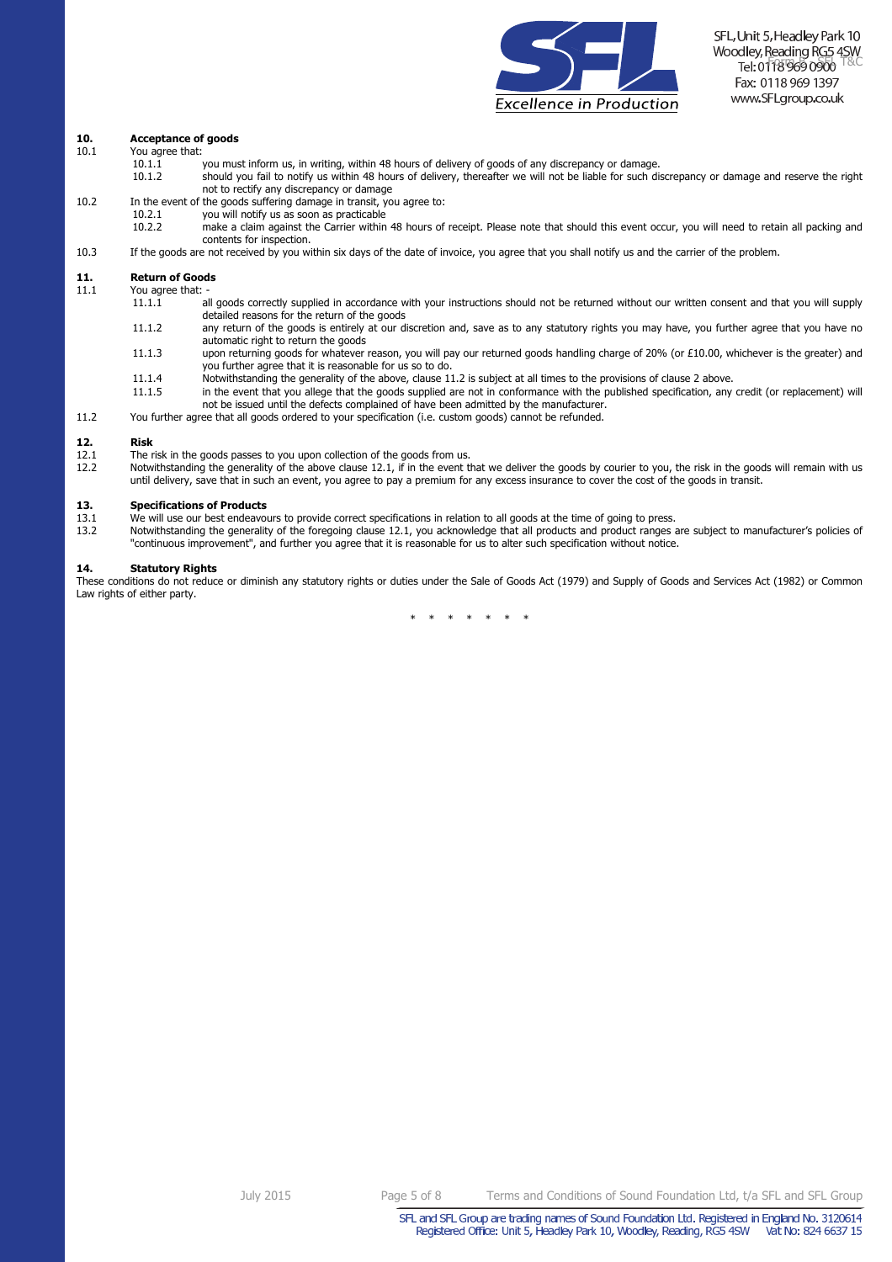

# **10.** Acceptance of goods<br>10.1 You agree that:

- You agree that:
	- $10.1.\overline{1}$  you must inform us, in writing, within 48 hours of delivery of goods of any discrepancy or damage.<br> $10.1.2$  should you fail to notify us within 48 hours of delivery, thereafter we will not be liable for such
	- 10.1.2 should you fail to notify us within 48 hours of delivery, thereafter we will not be liable for such discrepancy or damage and reserve the right not to rectify any discrepancy or damage
- 10.2 In the event of the goods suffering damage in transit, you agree to:
- 10.2.1 you will notify us as soon as practicable<br>10.2.2 make a claim against the Carrier within
	- 10.2.2 make a claim against the Carrier within 48 hours of receipt. Please note that should this event occur, you will need to retain all packing and contents for inspection.
- 10.3 If the goods are not received by you within six days of the date of invoice, you agree that you shall notify us and the carrier of the problem.

# **11.** Return of Goods<br>11.1 You agree that: -

You agree that:<br>11.1.1

- all goods correctly supplied in accordance with your instructions should not be returned without our written consent and that you will supply detailed reasons for the return of the goods
- 11.1.2 any return of the goods is entirely at our discretion and, save as to any statutory rights you may have, you further agree that you have no automatic right to return the goods
- 11.1.3 upon returning goods for whatever reason, you will pay our returned goods handling charge of 20% (or £10.00, whichever is the greater) and you further agree that it is reasonable for us so to do.
- 11.1.4 Notwithstanding the generality of the above, clause 11.2 is subject at all times to the provisions of clause 2 above.
- in the event that you allege that the goods supplied are not in conformance with the published specification, any credit (or replacement) will not be issued until the defects complained of have been admitted by the manufacturer.
- 11.2 You further agree that all goods ordered to your specification (i.e. custom goods) cannot be refunded.

# **12. Risk**<br>12.1 The

- 12.1 The risk in the goods passes to you upon collection of the goods from us.<br>12.2 Notwithstanding the generality of the above clause 12.1, if in the event the
- Notwithstanding the generality of the above clause 12.1, if in the event that we deliver the goods by courier to you, the risk in the goods will remain with us until delivery, save that in such an event, you agree to pay a premium for any excess insurance to cover the cost of the goods in transit.

# **13. Specifications of Products**<br>**13.1** We will use our best endeavoi

- 13.1 We will use our best endeavours to provide correct specifications in relation to all goods at the time of going to press.<br>13.2 Notwithstanding the generality of the foregoing clause 12.1, you acknowledge that all prod
- Notwithstanding the generality of the foregoing clause 12.1, you acknowledge that all products and product ranges are subject to manufacturer's policies of "continuous improvement", and further you agree that it is reasonable for us to alter such specification without notice.

#### **14. Statutory Rights**

These conditions do not reduce or diminish any statutory rights or duties under the Sale of Goods Act (1979) and Supply of Goods and Services Act (1982) or Common Law rights of either party.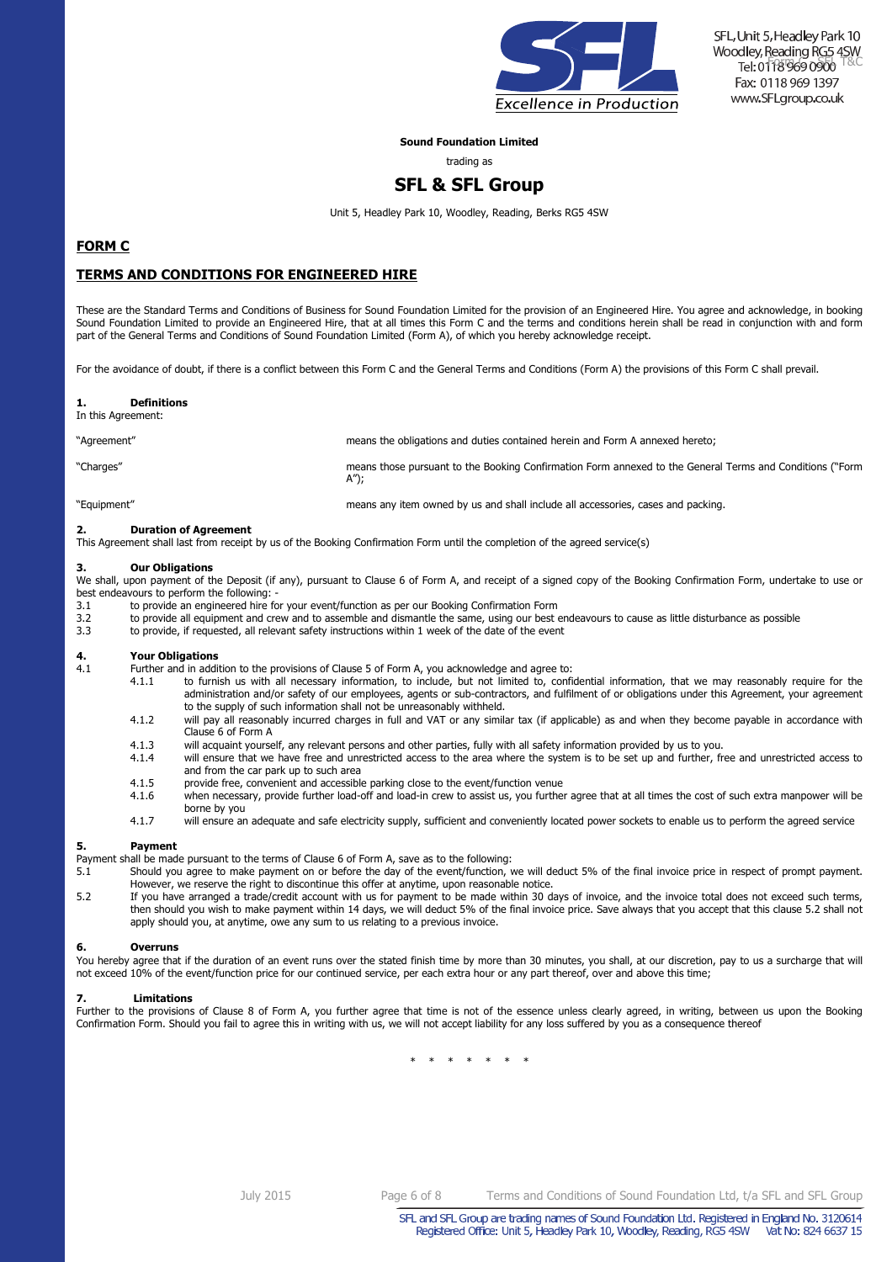

SFL, Unit 5, Headley Park 10 Woodley, Reading RG5 4SW Tel: 01189690900 Fax: 0118 969 1397 www.SFLgroup.co.uk

### **Sound Foundation Limited**

trading as

### **SFL & SFL Group**

Unit 5, Headley Park 10, Woodley, Reading, Berks RG5 4SW

### **FORM C**

### **TERMS AND CONDITIONS FOR ENGINEERED HIRE**

These are the Standard Terms and Conditions of Business for Sound Foundation Limited for the provision of an Engineered Hire. You agree and acknowledge, in booking Sound Foundation Limited to provide an Engineered Hire, that at all times this Form C and the terms and conditions herein shall be read in conjunction with and form part of the General Terms and Conditions of Sound Foundation Limited (Form A), of which you hereby acknowledge receipt.

For the avoidance of doubt, if there is a conflict between this Form C and the General Terms and Conditions (Form A) the provisions of this Form C shall prevail.

| In this Agreement: |                                                                                                                  |
|--------------------|------------------------------------------------------------------------------------------------------------------|
| "Agreement"        | means the obligations and duties contained herein and Form A annexed hereto;                                     |
| "Charges"          | means those pursuant to the Booking Confirmation Form annexed to the General Terms and Conditions ("Form<br>A"); |
| "Equipment"        | means any item owned by us and shall include all accessories, cases and packing.                                 |

### **2. Duration of Agreement**

This Agreement shall last from receipt by us of the Booking Confirmation Form until the completion of the agreed service(s)

#### **3. Our Obligations**

**1. Definitions** 

We shall, upon payment of the Deposit (if any), pursuant to Clause 6 of Form A, and receipt of a signed copy of the Booking Confirmation Form, undertake to use or best endeavours to perform the following:<br>3.1 to provide an engineered hire fo

- 3.1 to provide an engineered hire for your event/function as per our Booking Confirmation Form<br>3.2 to provide all equipment and crew and to assemble and dismantle the same, using our best
- 3.2 to provide all equipment and crew and to assemble and dismantle the same, using our best endeavours to cause as little disturbance as possible 3.3 to provide, if requested, all relevant safety instructions within 1 wee
- to provide, if requested, all relevant safety instructions within 1 week of the date of the event

# **4. Your Obligations**

- Further and in addition to the provisions of Clause 5 of Form A, you acknowledge and agree to:<br>4.1.1 a boot furnish us with all necessary information, to include, but not limited to, confi
	- to furnish us with all necessary information, to include, but not limited to, confidential information, that we may reasonably require for the administration and/or safety of our employees, agents or sub-contractors, and fulfilment of or obligations under this Agreement, your agreement to the supply of such information shall not be unreasonably withheld.
	- 4.1.2 will pay all reasonably incurred charges in full and VAT or any similar tax (if applicable) as and when they become payable in accordance with Clause 6 of Form A
	- 4.1.3 will acquaint yourself, any relevant persons and other parties, fully with all safety information provided by us to you.
	- 4.1.4 will ensure that we have free and unrestricted access to the area where the system is to be set up and further, free and unrestricted access to and from the car park up to such area
	- 4.1.5 provide free, convenient and accessible parking close to the event/function venue<br>4.1.6 when necessary, provide further load-off and load-in crew to assist us, you further
	- 4.1.6 when necessary, provide further load-off and load-in crew to assist us, you further agree that at all times the cost of such extra manpower will be borne by you
	- 4.1.7 will ensure an adequate and safe electricity supply, sufficient and conveniently located power sockets to enable us to perform the agreed service

#### **5. Payment**

Payment shall be made pursuant to the terms of Clause 6 of Form A, save as to the following:

- 5.1 Should you agree to make payment on or before the day of the event/function, we will deduct 5% of the final invoice price in respect of prompt payment. However, we reserve the right to discontinue this offer at anytime, upon reasonable notice.
- 5.2 If you have arranged a trade/credit account with us for payment to be made within 30 days of invoice, and the invoice total does not exceed such terms, then should you wish to make payment within 14 days, we will deduct 5% of the final invoice price. Save always that you accept that this clause 5.2 shall not apply should you, at anytime, owe any sum to us relating to a previous invoice.

#### **6. Overruns**

You hereby agree that if the duration of an event runs over the stated finish time by more than 30 minutes, you shall, at our discretion, pay to us a surcharge that will not exceed 10% of the event/function price for our continued service, per each extra hour or any part thereof, over and above this time;

#### **7. Limitations**

Further to the provisions of Clause 8 of Form A, you further agree that time is not of the essence unless clearly agreed, in writing, between us upon the Booking Confirmation Form. Should you fail to agree this in writing with us, we will not accept liability for any loss suffered by you as a consequence thereof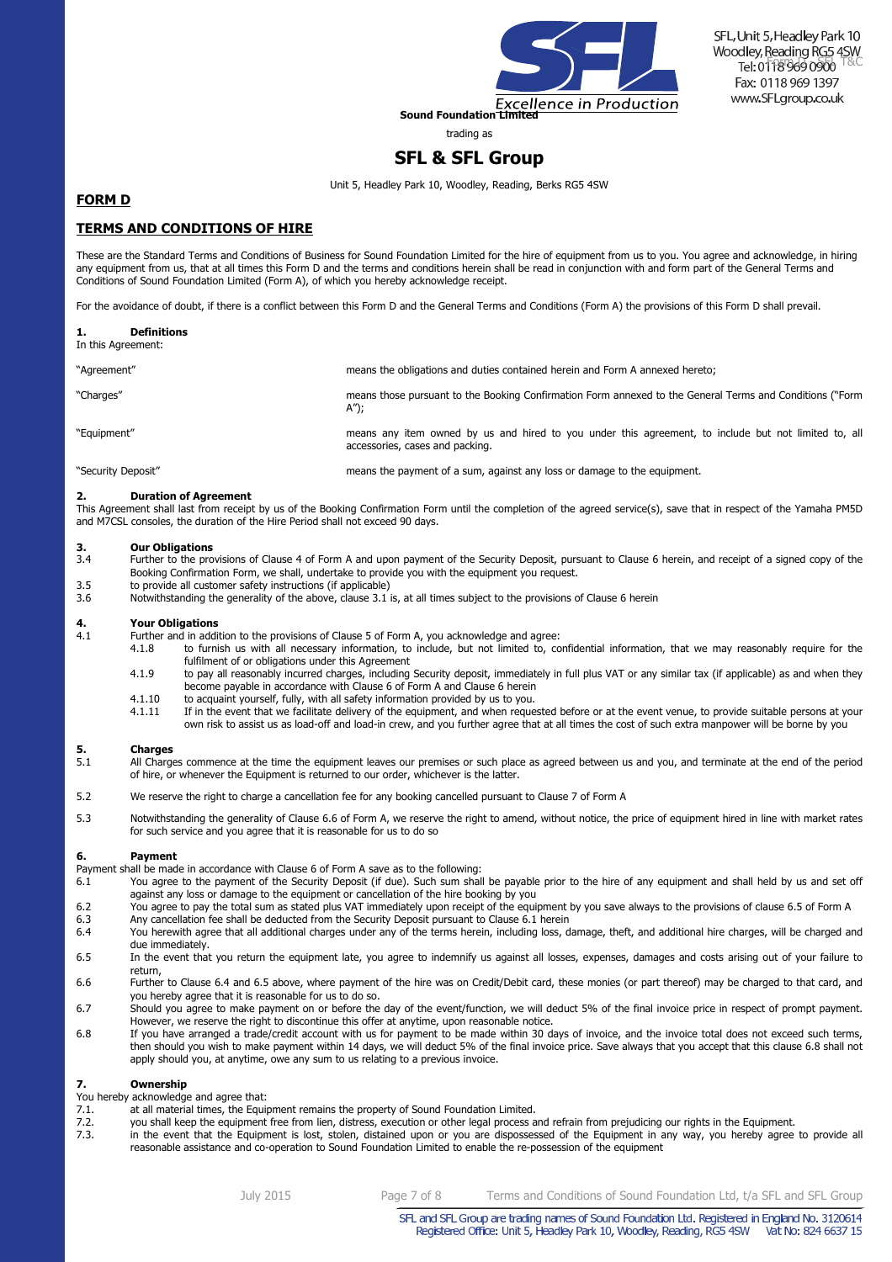

trading as

### **SFL & SFL Group**

Unit 5, Headley Park 10, Woodley, Reading, Berks RG5 4SW

### **FORM D**

### **TERMS AND CONDITIONS OF HIRE**

These are the Standard Terms and Conditions of Business for Sound Foundation Limited for the hire of equipment from us to you. You agree and acknowledge, in hiring any equipment from us, that at all times this Form D and the terms and conditions herein shall be read in conjunction with and form part of the General Terms and Conditions of Sound Foundation Limited (Form A), of which you hereby acknowledge receipt.

For the avoidance of doubt, if there is a conflict between this Form D and the General Terms and Conditions (Form A) the provisions of this Form D shall prevail.

| <b>Definitions</b><br>In this Agreement: |                                                                                                                                         |
|------------------------------------------|-----------------------------------------------------------------------------------------------------------------------------------------|
| "Agreement"                              | means the obligations and duties contained herein and Form A annexed hereto;                                                            |
| "Charges"                                | means those pursuant to the Booking Confirmation Form annexed to the General Terms and Conditions ("Form<br>A");                        |
| "Equipment"                              | means any item owned by us and hired to you under this agreement, to include but not limited to, all<br>accessories, cases and packing. |
| "Security Deposit"                       | means the payment of a sum, against any loss or damage to the equipment.                                                                |

#### **2. Duration of Agreement**

This Agreement shall last from receipt by us of the Booking Confirmation Form until the completion of the agreed service(s), save that in respect of the Yamaha PM5D and M7CSL consoles, the duration of the Hire Period shall not exceed 90 days.

# **3. Our Obligations**<br>**3.4 Eurther to the pro**

- Further to the provisions of Clause 4 of Form A and upon payment of the Security Deposit, pursuant to Clause 6 herein, and receipt of a signed copy of the Booking Confirmation Form, we shall, undertake to provide you with the equipment you request.
- 3.5 to provide all customer safety instructions (if applicable)<br>3.6 Notwithstanding the generality of the above, clause 3.1 i
- Notwithstanding the generality of the above, clause 3.1 is, at all times subject to the provisions of Clause 6 herein

# **4. Your Obligations**<br>**4.1 Eurther and in addi**

- Further and in addition to the provisions of Clause 5 of Form A, you acknowledge and agree:<br>4.1.8 to furnish us with all necessary information, to include, but not limited to, co
	- 4.1.8 to furnish us with all necessary information, to include, but not limited to, confidential information, that we may reasonably require for the fulfilment of or obligations under this Agreement
	- 4.1.9 to pay all reasonably incurred charges, including Security deposit, immediately in full plus VAT or any similar tax (if applicable) as and when they become payable in accordance with Clause 6 of Form A and Clause 6 herein
	- 4.1.10 to acquaint yourself, fully, with all safety information provided by us to you.<br>4.1.11 If in the event that we facilitate delivery of the equipment, and when reque
	- If in the event that we facilitate delivery of the equipment, and when requested before or at the event venue, to provide suitable persons at your own risk to assist us as load-off and load-in crew, and you further agree that at all times the cost of such extra manpower will be borne by you

### **5. Charges**

- All Charges commence at the time the equipment leaves our premises or such place as agreed between us and you, and terminate at the end of the period of hire, or whenever the Equipment is returned to our order, whichever is the latter.
- 5.2 We reserve the right to charge a cancellation fee for any booking cancelled pursuant to Clause 7 of Form A
- 5.3 Notwithstanding the generality of Clause 6.6 of Form A, we reserve the right to amend, without notice, the price of equipment hired in line with market rates for such service and you agree that it is reasonable for us to do so

#### **6. Payment**

Payment shall be made in accordance with Clause 6 of Form A save as to the following:

- 6.1 You agree to the payment of the Security Deposit (if due). Such sum shall be payable prior to the hire of any equipment and shall held by us and set off against any loss or damage to the equipment or cancellation of the hire booking by you
- 6.2 You agree to pay the total sum as stated plus VAT immediately upon receipt of the equipment by you save always to the provisions of clause 6.5 of Form A
- 6.3 Any cancellation fee shall be deducted from the Security Deposit pursuant to Clause 6.1 herein 6.4 You herewith agree that all additional charges under any of the terms herein, including loss, damage, theft, and additional hire charges, will be charged and due immediately.
- 6.5 In the event that you return the equipment late, you agree to indemnify us against all losses, expenses, damages and costs arising out of your failure to return,
- 6.6 Further to Clause 6.4 and 6.5 above, where payment of the hire was on Credit/Debit card, these monies (or part thereof) may be charged to that card, and you hereby agree that it is reasonable for us to do so.
- 6.7 Should you agree to make payment on or before the day of the event/function, we will deduct 5% of the final invoice price in respect of prompt payment. However, we reserve the right to discontinue this offer at anytime, upon reasonable notice.
- 6.8 If you have arranged a trade/credit account with us for payment to be made within 30 days of invoice, and the invoice total does not exceed such terms, then should you wish to make payment within 14 days, we will deduct 5% of the final invoice price. Save always that you accept that this clause 6.8 shall not apply should you, at anytime, owe any sum to us relating to a previous invoice.

### **7. Ownership**

- You hereby acknowledge and agree that:
- 7.1. at all material times, the Equipment remains the property of Sound Foundation Limited.<br>7.2. you shall keep the equipment free from lien, distress, execution or other legal process a
- 7.2. you shall keep the equipment free from lien, distress, execution or other legal process and refrain from prejudicing our rights in the Equipment.<br>7.3 in the event that the Equipment is lost stolen, distained upon or y
- in the event that the Equipment is lost, stolen, distained upon or you are dispossessed of the Equipment in any way, you hereby agree to provide all reasonable assistance and co-operation to Sound Foundation Limited to enable the re-possession of the equipment

July 2015 Page 7 of 8 Terms and Conditions of Sound Foundation Ltd, t/a SFL and SFL Group

SFL and SFL Group are trading names of Sound Foundation Ltd. Registered in England No. 3120614 Registered Office: Unit 5, Headley Park 10, Woodley, Reading, RG5 4SW Vat No: 824 6637 15